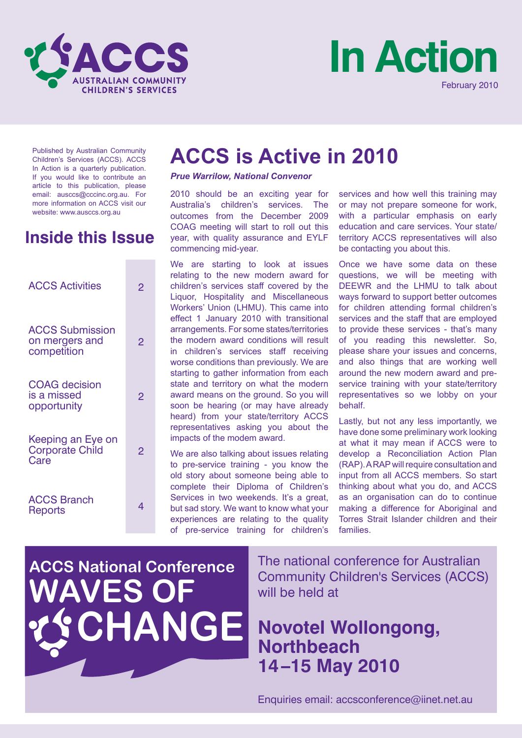



Published by Australian Community Children's Services (ACCS). ACCS In Action is a quarterly publication. If you would like to contribute an article to this publication, please email: ausccs@cccinc.org.au. For more information on ACCS visit our website: www.ausccs.org.au

# **Inside this Issue**

| <b>ACCS Activities</b>                                  | 2 |  |
|---------------------------------------------------------|---|--|
| <b>ACCS Submission</b><br>on mergers and<br>competition | 2 |  |
| <b>COAG</b> decision<br>is a missed<br>opportunity      | 2 |  |
| Keeping an Eye on<br><b>Corporate Child</b><br>Care     | 2 |  |
| <b>ACCS Branch</b><br><b>Reports</b>                    | 4 |  |

# **ACCS is Active in 2010**

#### *Prue Warrilow, National Convenor*

2010 should be an exciting year for Australia's children's services. The outcomes from the December 2009 COAG meeting will start to roll out this year, with quality assurance and EYLF commencing mid-year.

We are starting to look at issues relating to the new modern award for children's services staff covered by the Liquor, Hospitality and Miscellaneous Workers' Union (LHMU). This came into effect 1 January 2010 with transitional arrangements. For some states/territories the modern award conditions will result in children's services staff receiving worse conditions than previously. We are starting to gather information from each state and territory on what the modern award means on the ground. So you will soon be hearing (or may have already heard) from your state/territory ACCS representatives asking you about the impacts of the modem award.

We are also talking about issues relating to pre-service training - you know the old story about someone being able to complete their Diploma of Children's Services in two weekends. It's a great, but sad story. We want to know what your experiences are relating to the quality of pre-service training for children's services and how well this training may or may not prepare someone for work, with a particular emphasis on early education and care services. Your state/ territory ACCS representatives will also be contacting you about this.

Once we have some data on these questions, we will be meeting with DEEWR and the LHMU to talk about ways forward to support better outcomes for children attending formal children's services and the staff that are employed to provide these services - that's many of you reading this newsletter. So, please share your issues and concerns, and also things that are working well around the new modern award and preservice training with your state/territory representatives so we lobby on your behalf.

Lastly, but not any less importantly, we have done some preliminary work looking at what it may mean if ACCS were to develop a Reconciliation Action Plan (RAP). A RAP will require consultation and input from all ACCS members. So start thinking about what you do, and ACCS as an organisation can do to continue making a difference for Aboriginal and Torres Strait Islander children and their families.

# **ACCS National Conference WAVES OF ANGE**

The national conference for Australian Community Children's Services (ACCS) will be held at

# **Novotel Wollongong, Northbeach 14–15 May 2010**

Enquiries email: accsconference@iinet.net.au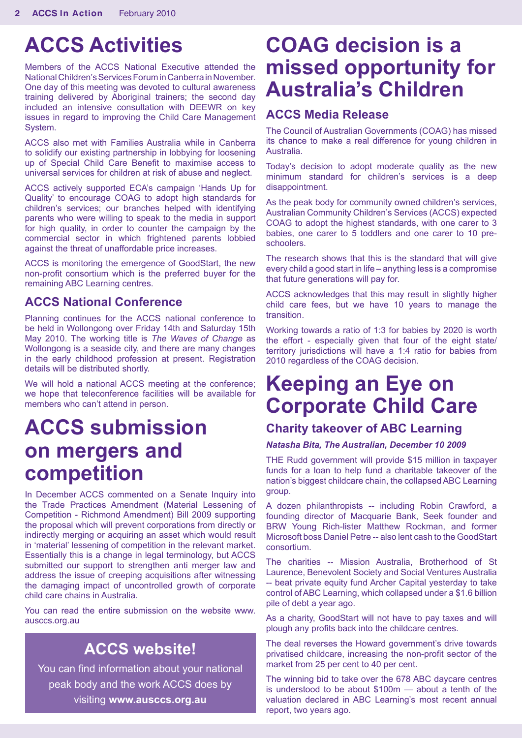# **ACCS Activities**

Members of the ACCS National Executive attended the National Children's Services Forum in Canberra in November. One day of this meeting was devoted to cultural awareness training delivered by Aboriginal trainers; the second day included an intensive consultation with DEEWR on key issues in regard to improving the Child Care Management System.

ACCS also met with Families Australia while in Canberra to solidify our existing partnership in lobbying for loosening up of Special Child Care Benefit to maximise access to universal services for children at risk of abuse and neglect.

ACCS actively supported ECA's campaign 'Hands Up for Quality' to encourage COAG to adopt high standards for children's services; our branches helped with identifying parents who were willing to speak to the media in support for high quality, in order to counter the campaign by the commercial sector in which frightened parents lobbied against the threat of unaffordable price increases.

ACCS is monitoring the emergence of GoodStart, the new non-profit consortium which is the preferred buyer for the remaining ABC Learning centres.

### **ACCS National Conference**

Planning continues for the ACCS national conference to be held in Wollongong over Friday 14th and Saturday 15th May 2010. The working title is *The Waves of Change* as Wollongong is a seaside city, and there are many changes in the early childhood profession at present. Registration details will be distributed shortly.

We will hold a national ACCS meeting at the conference; we hope that teleconference facilities will be available for members who can't attend in person.

# **ACCS submission on mergers and competition**

In December ACCS commented on a Senate Inquiry into the Trade Practices Amendment (Material Lessening of Competition - Richmond Amendment) Bill 2009 supporting the proposal which will prevent corporations from directly or indirectly merging or acquiring an asset which would result in 'material' lessening of competition in the relevant market. Essentially this is a change in legal terminology, but ACCS submitted our support to strengthen anti merger law and address the issue of creeping acquisitions after witnessing the damaging impact of uncontrolled growth of corporate child care chains in Australia.

You can read the entire submission on the website www. ausccs.org.au

# **ACCS website!**

You can find information about your national peak body and the work ACCS does by visiting **www.ausccs.org.au**

# **COAG decision is a missed opportunity for Australia's Children**

### **ACCS Media Release**

The Council of Australian Governments (COAG) has missed its chance to make a real difference for young children in Australia.

Today's decision to adopt moderate quality as the new minimum standard for children's services is a deep disappointment.

As the peak body for community owned children's services, Australian Community Children's Services (ACCS) expected COAG to adopt the highest standards, with one carer to 3 babies, one carer to 5 toddlers and one carer to 10 preschoolers.

The research shows that this is the standard that will give every child a good start in life – anything less is a compromise that future generations will pay for.

ACCS acknowledges that this may result in slightly higher child care fees, but we have 10 years to manage the transition.

Working towards a ratio of 1:3 for babies by 2020 is worth the effort - especially given that four of the eight state/ territory jurisdictions will have a 1:4 ratio for babies from 2010 regardless of the COAG decision.

# **Keeping an Eye on Corporate Child Care**

## **Charity takeover of ABC Learning**

#### *Natasha Bita, The Australian, December 10 2009*

THE Rudd government will provide \$15 million in taxpayer funds for a loan to help fund a charitable takeover of the nation's biggest childcare chain, the collapsed ABC Learning group.

A dozen philanthropists -- including Robin Crawford, a founding director of Macquarie Bank, Seek founder and BRW Young Rich-lister Matthew Rockman, and former Microsoft boss Daniel Petre -- also lent cash to the GoodStart consortium.

The charities -- Mission Australia, Brotherhood of St Laurence, Benevolent Society and Social Ventures Australia -- beat private equity fund Archer Capital yesterday to take control of ABC Learning, which collapsed under a \$1.6 billion pile of debt a year ago.

As a charity, GoodStart will not have to pay taxes and will plough any profits back into the childcare centres.

The deal reverses the Howard government's drive towards privatised childcare, increasing the non-profit sector of the market from 25 per cent to 40 per cent.

The winning bid to take over the 678 ABC daycare centres is understood to be about \$100m — about a tenth of the valuation declared in ABC Learning's most recent annual report, two years ago.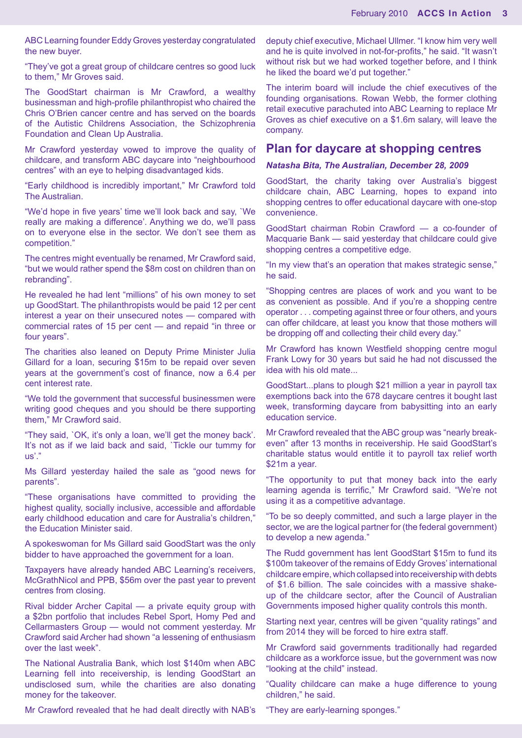ABC Learning founder Eddy Groves yesterday congratulated the new buyer.

"They've got a great group of childcare centres so good luck to them," Mr Groves said.

The GoodStart chairman is Mr Crawford, a wealthy businessman and high-profile philanthropist who chaired the Chris O'Brien cancer centre and has served on the boards of the Autistic Childrens Association, the Schizophrenia Foundation and Clean Up Australia.

Mr Crawford yesterday vowed to improve the quality of childcare, and transform ABC daycare into "neighbourhood centres" with an eye to helping disadvantaged kids.

"Early childhood is incredibly important," Mr Crawford told The Australian.

"We'd hope in five years' time we'll look back and say, `We really are making a difference'. Anything we do, we'll pass on to everyone else in the sector. We don't see them as competition."

The centres might eventually be renamed, Mr Crawford said, "but we would rather spend the \$8m cost on children than on rebranding".

He revealed he had lent "millions" of his own money to set up GoodStart. The philanthropists would be paid 12 per cent interest a year on their unsecured notes — compared with commercial rates of 15 per cent — and repaid "in three or four years".

The charities also leaned on Deputy Prime Minister Julia Gillard for a loan, securing \$15m to be repaid over seven years at the government's cost of finance, now a 6.4 per cent interest rate.

"We told the government that successful businessmen were writing good cheques and you should be there supporting them," Mr Crawford said.

"They said, `OK, it's only a loan, we'll get the money back'. It's not as if we laid back and said, `Tickle our tummy for us'."

Ms Gillard yesterday hailed the sale as "good news for parents".

"These organisations have committed to providing the highest quality, socially inclusive, accessible and affordable early childhood education and care for Australia's children," the Education Minister said.

A spokeswoman for Ms Gillard said GoodStart was the only bidder to have approached the government for a loan.

Taxpayers have already handed ABC Learning's receivers, McGrathNicol and PPB, \$56m over the past year to prevent centres from closing.

Rival bidder Archer Capital — a private equity group with a \$2bn portfolio that includes Rebel Sport, Homy Ped and Cellarmasters Group — would not comment yesterday. Mr Crawford said Archer had shown "a lessening of enthusiasm over the last week".

The National Australia Bank, which lost \$140m when ABC Learning fell into receivership, is lending GoodStart an undisclosed sum, while the charities are also donating money for the takeover.

Mr Crawford revealed that he had dealt directly with NAB's

deputy chief executive, Michael Ullmer. "I know him very well and he is quite involved in not-for-profits," he said. "It wasn't without risk but we had worked together before, and I think he liked the board we'd put together."

The interim board will include the chief executives of the founding organisations. Rowan Webb, the former clothing retail executive parachuted into ABC Learning to replace Mr Groves as chief executive on a \$1.6m salary, will leave the company.

#### **Plan for daycare at shopping centres**

#### *Natasha Bita, The Australian, December 28, 2009*

GoodStart, the charity taking over Australia's biggest childcare chain, ABC Learning, hopes to expand into shopping centres to offer educational daycare with one-stop convenience.

GoodStart chairman Robin Crawford — a co-founder of Macquarie Bank — said yesterday that childcare could give shopping centres a competitive edge.

"In my view that's an operation that makes strategic sense," he said.

"Shopping centres are places of work and you want to be as convenient as possible. And if you're a shopping centre operator . . . competing against three or four others, and yours can offer childcare, at least you know that those mothers will be dropping off and collecting their child every day."

Mr Crawford has known Westfield shopping centre mogul Frank Lowy for 30 years but said he had not discussed the idea with his old mate...

GoodStart...plans to plough \$21 million a year in payroll tax exemptions back into the 678 daycare centres it bought last week, transforming daycare from babysitting into an early education service.

Mr Crawford revealed that the ABC group was "nearly breakeven" after 13 months in receivership. He said GoodStart's charitable status would entitle it to payroll tax relief worth \$21m a year.

"The opportunity to put that money back into the early learning agenda is terrific," Mr Crawford said. "We're not using it as a competitive advantage.

"To be so deeply committed, and such a large player in the sector, we are the logical partner for (the federal government) to develop a new agenda."

The Rudd government has lent GoodStart \$15m to fund its \$100m takeover of the remains of Eddy Groves' international childcare empire, which collapsed into receivership with debts of \$1.6 billion. The sale coincides with a massive shakeup of the childcare sector, after the Council of Australian Governments imposed higher quality controls this month.

Starting next year, centres will be given "quality ratings" and from 2014 they will be forced to hire extra staff.

Mr Crawford said governments traditionally had regarded childcare as a workforce issue, but the government was now "looking at the child" instead.

"Quality childcare can make a huge difference to young children," he said.

"They are early-learning sponges."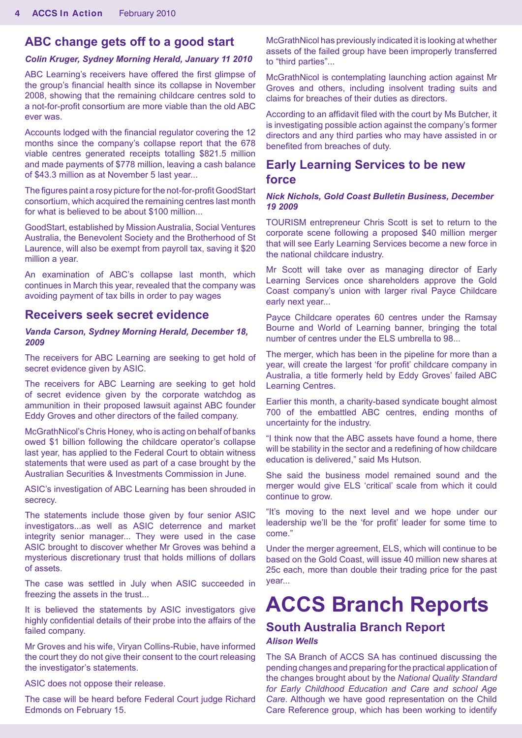### **ABC change gets off to a good start**

#### *Colin Kruger, Sydney Morning Herald, January 11 2010*

ABC Learning's receivers have offered the first glimpse of the group's financial health since its collapse in November 2008, showing that the remaining childcare centres sold to a not-for-profit consortium are more viable than the old ABC ever was.

Accounts lodged with the financial regulator covering the 12 months since the company's collapse report that the 678 viable centres generated receipts totalling \$821.5 million and made payments of \$778 million, leaving a cash balance of \$43.3 million as at November 5 last year...

The figures paint a rosy picture for the not-for-profit GoodStart consortium, which acquired the remaining centres last month for what is believed to be about \$100 million...

GoodStart, established by Mission Australia, Social Ventures Australia, the Benevolent Society and the Brotherhood of St Laurence, will also be exempt from payroll tax, saving it \$20 million a year.

An examination of ABC's collapse last month, which continues in March this year, revealed that the company was avoiding payment of tax bills in order to pay wages

### **Receivers seek secret evidence**

#### *Vanda Carson, Sydney Morning Herald, December 18, 2009*

The receivers for ABC Learning are seeking to get hold of secret evidence given by ASIC.

The receivers for ABC Learning are seeking to get hold of secret evidence given by the corporate watchdog as ammunition in their proposed lawsuit against ABC founder Eddy Groves and other directors of the failed company.

McGrathNicol's Chris Honey, who is acting on behalf of banks owed \$1 billion following the childcare operator's collapse last year, has applied to the Federal Court to obtain witness statements that were used as part of a case brought by the Australian Securities & Investments Commission in June.

ASIC's investigation of ABC Learning has been shrouded in secrecy.

The statements include those given by four senior ASIC investigators...as well as ASIC deterrence and market integrity senior manager... They were used in the case ASIC brought to discover whether Mr Groves was behind a mysterious discretionary trust that holds millions of dollars of assets.

The case was settled in July when ASIC succeeded in freezing the assets in the trust...

It is believed the statements by ASIC investigators give highly confidential details of their probe into the affairs of the failed company.

Mr Groves and his wife, Viryan Collins-Rubie, have informed the court they do not give their consent to the court releasing the investigator's statements.

ASIC does not oppose their release.

The case will be heard before Federal Court judge Richard Edmonds on February 15.

McGrathNicol has previously indicated it is looking at whether assets of the failed group have been improperly transferred to "third parties"...

McGrathNicol is contemplating launching action against Mr Groves and others, including insolvent trading suits and claims for breaches of their duties as directors.

According to an affidavit filed with the court by Ms Butcher, it is investigating possible action against the company's former directors and any third parties who may have assisted in or benefited from breaches of duty.

### **Early Learning Services to be new force**

#### *Nick Nichols, Gold Coast Bulletin Business, December 19 2009*

TOURISM entrepreneur Chris Scott is set to return to the corporate scene following a proposed \$40 million merger that will see Early Learning Services become a new force in the national childcare industry.

Mr Scott will take over as managing director of Early Learning Services once shareholders approve the Gold Coast company's union with larger rival Payce Childcare early next year...

Payce Childcare operates 60 centres under the Ramsay Bourne and World of Learning banner, bringing the total number of centres under the ELS umbrella to 98...

The merger, which has been in the pipeline for more than a year, will create the largest 'for profit' childcare company in Australia, a title formerly held by Eddy Groves' failed ABC Learning Centres.

Earlier this month, a charity-based syndicate bought almost 700 of the embattled ABC centres, ending months of uncertainty for the industry.

"I think now that the ABC assets have found a home, there will be stability in the sector and a redefining of how childcare education is delivered," said Ms Hutson.

She said the business model remained sound and the merger would give ELS 'critical' scale from which it could continue to grow.

"It's moving to the next level and we hope under our leadership we'll be the 'for profit' leader for some time to come."

Under the merger agreement, ELS, which will continue to be based on the Gold Coast, will issue 40 million new shares at 25c each, more than double their trading price for the past year...

# **ACCS Branch Reports**

### **South Australia Branch Report**

#### *Alison Wells*

The SA Branch of ACCS SA has continued discussing the pending changes and preparing for the practical application of the changes brought about by the *National Quality Standard for Early Childhood Education and Care and school Age Care*. Although we have good representation on the Child Care Reference group, which has been working to identify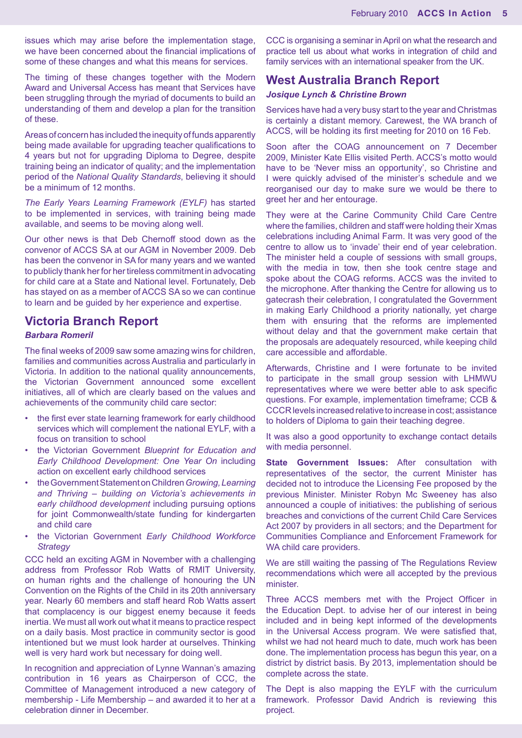issues which may arise before the implementation stage, we have been concerned about the financial implications of some of these changes and what this means for services.

The timing of these changes together with the Modern Award and Universal Access has meant that Services have been struggling through the myriad of documents to build an understanding of them and develop a plan for the transition of these.

Areas of concern has included the inequity of funds apparently being made available for upgrading teacher qualifications to 4 years but not for upgrading Diploma to Degree, despite training being an indicator of quality; and the implementation period of the *National Quality Standards*, believing it should be a minimum of 12 months.

*The Early Years Learning Framework (EYLF)* has started to be implemented in services, with training being made available, and seems to be moving along well.

Our other news is that Deb Chernoff stood down as the convenor of ACCS SA at our AGM in November 2009. Deb has been the convenor in SA for many years and we wanted to publicly thank her for her tireless commitment in advocating for child care at a State and National level. Fortunately, Deb has stayed on as a member of ACCS SA so we can continue to learn and be guided by her experience and expertise.

### **Victoria Branch Report**

#### *Barbara Romeril*

The final weeks of 2009 saw some amazing wins for children, families and communities across Australia and particularly in Victoria. In addition to the national quality announcements, the Victorian Government announced some excellent initiatives, all of which are clearly based on the values and achievements of the community child care sector:

- the first ever state learning framework for early childhood services which will complement the national EYLF, with a focus on transition to school
- the Victorian Government *Blueprint for Education and Early Childhood Development: One Year On* including action on excellent early childhood services
- the Government Statement on Children *Growing, Learning and Thriving – building on Victoria's achievements in early childhood development* including pursuing options for joint Commonwealth/state funding for kindergarten and child care
- the Victorian Government *Early Childhood Workforce Strategy*

CCC held an exciting AGM in November with a challenging address from Professor Rob Watts of RMIT University, on human rights and the challenge of honouring the UN Convention on the Rights of the Child in its 20th anniversary year. Nearly 60 members and staff heard Rob Watts assert that complacency is our biggest enemy because it feeds inertia. We must all work out what it means to practice respect on a daily basis. Most practice in community sector is good intentioned but we must look harder at ourselves. Thinking well is very hard work but necessary for doing well.

In recognition and appreciation of Lynne Wannan's amazing contribution in 16 years as Chairperson of CCC, the Committee of Management introduced a new category of membership - Life Membership – and awarded it to her at a celebration dinner in December.

CCC is organising a seminar in April on what the research and practice tell us about what works in integration of child and family services with an international speaker from the UK.

### **West Australia Branch Report**

#### *Josique Lynch & Christine Brown*

Services have had a very busy start to the year and Christmas is certainly a distant memory. Carewest, the WA branch of ACCS, will be holding its first meeting for 2010 on 16 Feb.

Soon after the COAG announcement on 7 December 2009, Minister Kate Ellis visited Perth. ACCS's motto would have to be 'Never miss an opportunity', so Christine and I were quickly advised of the minister's schedule and we reorganised our day to make sure we would be there to greet her and her entourage.

They were at the Carine Community Child Care Centre where the families, children and staff were holding their Xmas celebrations including Animal Farm. It was very good of the centre to allow us to 'invade' their end of year celebration. The minister held a couple of sessions with small groups, with the media in tow, then she took centre stage and spoke about the COAG reforms. ACCS was the invited to the microphone. After thanking the Centre for allowing us to gatecrash their celebration, I congratulated the Government in making Early Childhood a priority nationally, yet charge them with ensuring that the reforms are implemented without delay and that the government make certain that the proposals are adequately resourced, while keeping child care accessible and affordable.

Afterwards, Christine and I were fortunate to be invited to participate in the small group session with LHMWU representatives where we were better able to ask specific questions. For example, implementation timeframe; CCB & CCCR levels increased relative to increase in cost; assistance to holders of Diploma to gain their teaching degree.

It was also a good opportunity to exchange contact details with media personnel.

**State Government Issues:** After consultation with representatives of the sector, the current Minister has decided not to introduce the Licensing Fee proposed by the previous Minister. Minister Robyn Mc Sweeney has also announced a couple of initiatives: the publishing of serious breaches and convictions of the current Child Care Services Act 2007 by providers in all sectors; and the Department for Communities Compliance and Enforcement Framework for WA child care providers.

We are still waiting the passing of The Regulations Review recommendations which were all accepted by the previous minister.

Three ACCS members met with the Project Officer in the Education Dept. to advise her of our interest in being included and in being kept informed of the developments in the Universal Access program. We were satisfied that, whilst we had not heard much to date, much work has been done. The implementation process has begun this year, on a district by district basis. By 2013, implementation should be complete across the state.

The Dept is also mapping the EYLF with the curriculum framework. Professor David Andrich is reviewing this project.